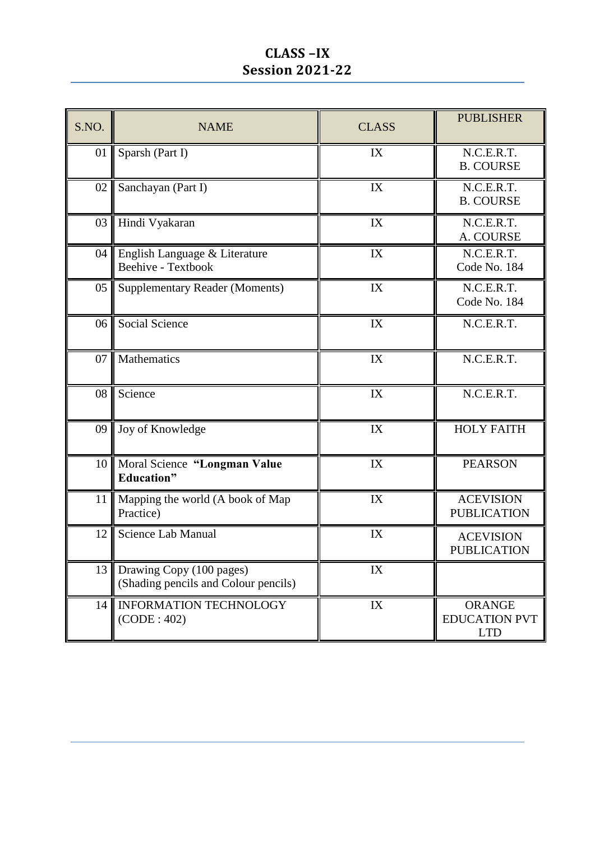## **CLASS –IX Session 2021-22**

| S.NO. | <b>NAME</b>                                                      | <b>CLASS</b> | <b>PUBLISHER</b>                                    |
|-------|------------------------------------------------------------------|--------------|-----------------------------------------------------|
| 01    | Sparsh (Part I)                                                  | IX           | N.C.E.R.T.<br><b>B. COURSE</b>                      |
| 02    | Sanchayan (Part I)                                               | IX           | N.C.E.R.T.<br><b>B. COURSE</b>                      |
| 03    | Hindi Vyakaran                                                   | IX           | N.C.E.R.T.<br>A. COURSE                             |
| 04    | English Language & Literature<br>Beehive - Textbook              | IX           | N.C.E.R.T.<br>Code No. 184                          |
| 05    | <b>Supplementary Reader (Moments)</b>                            | IX           | N.C.E.R.T.<br>Code No. 184                          |
| 06    | <b>Social Science</b>                                            | IX           | N.C.E.R.T.                                          |
| 07    | Mathematics                                                      | IX           | N.C.E.R.T.                                          |
| 08    | Science                                                          | IX           | N.C.E.R.T.                                          |
| 09    | Joy of Knowledge                                                 | IX           | <b>HOLY FAITH</b>                                   |
| 10    | Moral Science "Longman Value<br><b>Education</b> "               | IX           | <b>PEARSON</b>                                      |
| 11    | Mapping the world (A book of Map<br>Practice)                    | IX           | <b>ACEVISION</b><br><b>PUBLICATION</b>              |
| 12    | Science Lab Manual                                               | IX           | <b>ACEVISION</b><br><b>PUBLICATION</b>              |
| 13    | Drawing Copy (100 pages)<br>(Shading pencils and Colour pencils) | IX           |                                                     |
| 14    | <b>INFORMATION TECHNOLOGY</b><br>(CODE: 402)                     | IX           | <b>ORANGE</b><br><b>EDUCATION PVT</b><br><b>LTD</b> |